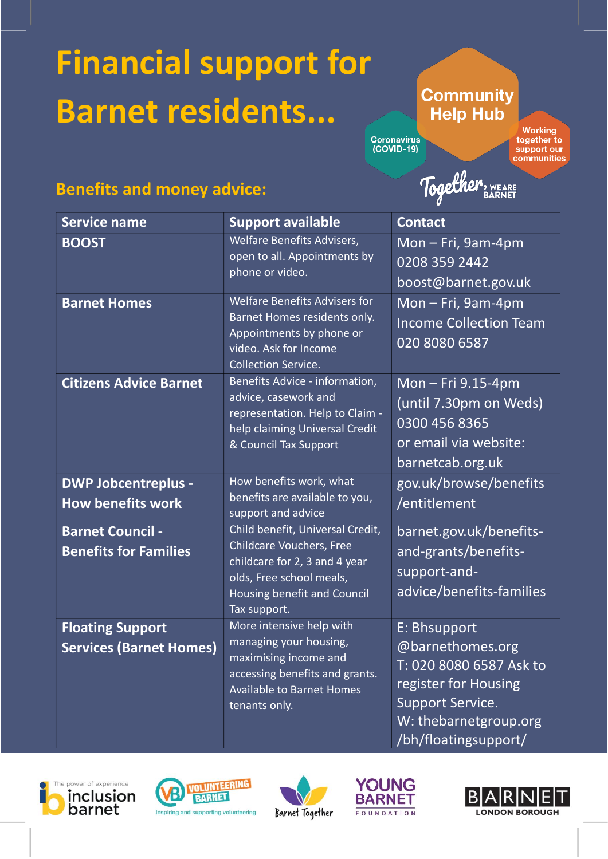# **Financial support for Barnet residents...**

## **Community Help Hub**

Coronavirus<br>(COVID-19)

**Working** together to support our<br>communities

# **Benefits and money advice:**

Together, WEARE

| <b>Service name</b>                                       | <b>Support available</b>                                                                                                                                                        | <b>Contact</b>                                                                                                                   |
|-----------------------------------------------------------|---------------------------------------------------------------------------------------------------------------------------------------------------------------------------------|----------------------------------------------------------------------------------------------------------------------------------|
| <b>BOOST</b>                                              | Welfare Benefits Advisers,<br>open to all. Appointments by<br>phone or video.                                                                                                   | Mon - Fri, 9am-4pm<br>0208 359 2442<br>boost@barnet.gov.uk                                                                       |
| <b>Barnet Homes</b>                                       | <b>Welfare Benefits Advisers for</b><br>Barnet Homes residents only.<br>Appointments by phone or<br>video. Ask for Income<br><b>Collection Service.</b>                         | $Mon-Fri, 9am-4pm$<br><b>Income Collection Team</b><br>020 8080 6587                                                             |
| <b>Citizens Advice Barnet</b>                             | Benefits Advice - information,<br>advice, casework and<br>representation. Help to Claim -<br>help claiming Universal Credit<br>& Council Tax Support                            | Mon - Fri 9.15-4pm<br>(until 7.30pm on Weds)<br>0300 456 8365<br>or email via website:<br>barnetcab.org.uk                       |
| <b>DWP Jobcentreplus -</b><br><b>How benefits work</b>    | How benefits work, what<br>benefits are available to you,<br>support and advice                                                                                                 | gov.uk/browse/benefits<br>/entitlement                                                                                           |
| <b>Barnet Council -</b><br><b>Benefits for Families</b>   | Child benefit, Universal Credit,<br><b>Childcare Vouchers, Free</b><br>childcare for 2, 3 and 4 year<br>olds, Free school meals,<br>Housing benefit and Council<br>Tax support. | barnet.gov.uk/benefits-<br>and-grants/benefits-<br>support-and-<br>advice/benefits-families                                      |
| <b>Floating Support</b><br><b>Services (Barnet Homes)</b> | More intensive help with<br>managing your housing,<br>maximising income and<br>accessing benefits and grants.<br><b>Available to Barnet Homes</b><br>tenants only.              | E: Bhsupport<br>@barnethomes.org<br>T: 020 8080 6587 Ask to<br>register for Housing<br>Support Service.<br>W: thebarnetgroup.org |